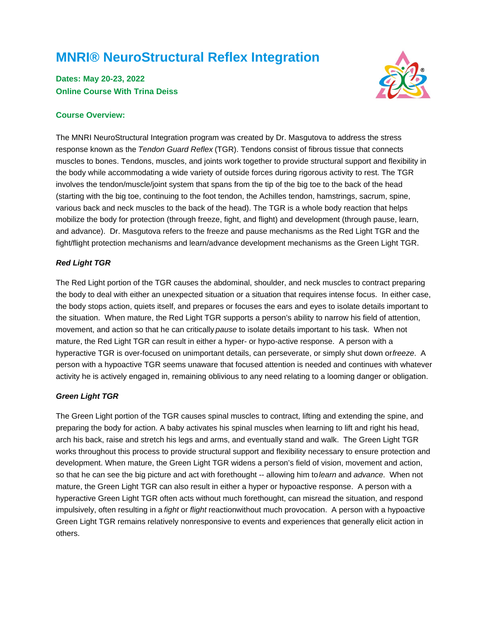# **MNRI® NeuroStructural Reflex Integration**

## **Dates: May 20-23, 2022 Online Course With Trina Deiss**

## **Course Overview:**

The MNRI NeuroStructural Integration program was created by Dr. Masgutova to address the stress response known as the Tendon Guard Reflex (TGR). Tendons consist of fibrous tissue that connects muscles to bones. Tendons, muscles, and joints work together to provide structural support and flexibility in the body while accommodating a wide variety of outside forces during rigorous activity to rest. The TGR involves the tendon/muscle/joint system that spans from the tip of the big toe to the back of the head (starting with the big toe, continuing to the foot tendon, the Achilles tendon, hamstrings, sacrum, spine, various back and neck muscles to the back of the head). The TGR is a whole body reaction that helps mobilize the body for protection (through freeze, fight, and flight) and development (through pause, learn, and advance). Dr. Masgutova refers to the freeze and pause mechanisms as the Red Light TGR and the fight/flight protection mechanisms and learn/advance development mechanisms as the Green Light TGR.

#### **Red Light TGR**

The Red Light portion of the TGR causes the abdominal, shoulder, and neck muscles to contract preparing the body to deal with either an unexpected situation or a situation that requires intense focus. In either case, the body stops action, quiets itself, and prepares or focuses the ears and eyes to isolate details important to the situation. When mature, the Red Light TGR supports a person's ability to narrow his field of attention, movement, and action so that he can critically pause to isolate details important to his task. When not mature, the Red Light TGR can result in either a hyper- or hypo-active response. A person with a hyperactive TGR is over-focused on unimportant details, can perseverate, or simply shut down or freeze. A person with a hypoactive TGR seems unaware that focused attention is needed and continues with whatever activity he is actively engaged in, remaining oblivious to any need relating to a looming danger or obligation.

#### **Green Light TGR**

The Green Light portion of the TGR causes spinal muscles to contract, lifting and extending the spine, and preparing the body for action. A baby activates his spinal muscles when learning to lift and right his head, arch his back, raise and stretch his legs and arms, and eventually stand and walk. The Green Light TGR works throughout this process to provide structural support and flexibility necessary to ensure protection and development. When mature, the Green Light TGR widens a person's field of vision, movement and action, so that he can see the big picture and act with forethought -- allowing him to learn and advance. When not mature, the Green Light TGR can also result in either a hyper or hypoactive response. A person with a hyperactive Green Light TGR often acts without much forethought, can misread the situation, and respond impulsively, often resulting in a fight or flight reactionwithout much provocation. A person with a hypoactive Green Light TGR remains relatively nonresponsive to events and experiences that generally elicit action in others.

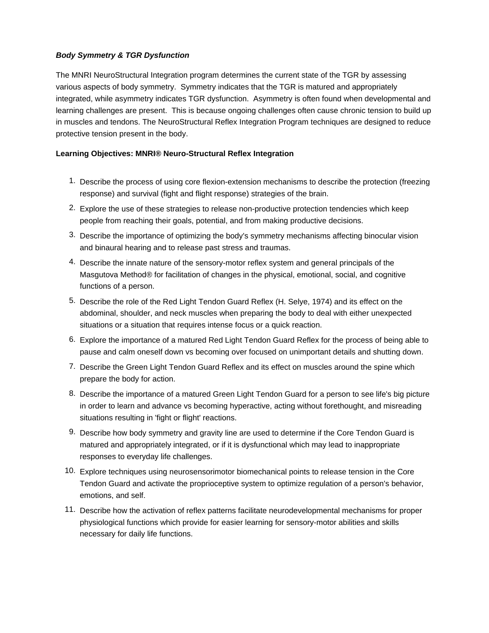## **Body Symmetry & TGR Dysfunction**

The MNRI NeuroStructural Integration program determines the current state of the TGR by assessing various aspects of body symmetry. Symmetry indicates that the TGR is matured and appropriately integrated, while asymmetry indicates TGR dysfunction. Asymmetry is often found when developmental and learning challenges are present. This is because ongoing challenges often cause chronic tension to build up in muscles and tendons. The NeuroStructural Reflex Integration Program techniques are designed to reduce protective tension present in the body.

## **Learning Objectives: MNRI® Neuro-Structural Reflex Integration**

- 1. Describe the process of using core flexion-extension mechanisms to describe the protection (freezing response) and survival (fight and flight response) strategies of the brain.
- 2. Explore the use of these strategies to release non-productive protection tendencies which keep people from reaching their goals, potential, and from making productive decisions.
- 3. Describe the importance of optimizing the body's symmetry mechanisms affecting binocular vision and binaural hearing and to release past stress and traumas.
- 4. Describe the innate nature of the sensory-motor reflex system and general principals of the Masgutova Method® for facilitation of changes in the physical, emotional, social, and cognitive functions of a person.
- 5. Describe the role of the Red Light Tendon Guard Reflex (H. Selye, 1974) and its effect on the abdominal, shoulder, and neck muscles when preparing the body to deal with either unexpected situations or a situation that requires intense focus or a quick reaction.
- 6. Explore the importance of a matured Red Light Tendon Guard Reflex for the process of being able to pause and calm oneself down vs becoming over focused on unimportant details and shutting down.
- 7. Describe the Green Light Tendon Guard Reflex and its effect on muscles around the spine which prepare the body for action.
- 8. Describe the importance of a matured Green Light Tendon Guard for a person to see life's big picture in order to learn and advance vs becoming hyperactive, acting without forethought, and misreading situations resulting in 'fight or flight' reactions.
- 9. Describe how body symmetry and gravity line are used to determine if the Core Tendon Guard is matured and appropriately integrated, or if it is dysfunctional which may lead to inappropriate responses to everyday life challenges.
- 10. Explore techniques using neurosensorimotor biomechanical points to release tension in the Core Tendon Guard and activate the proprioceptive system to optimize regulation of a person's behavior, emotions, and self.
- 11. Describe how the activation of reflex patterns facilitate neurodevelopmental mechanisms for proper physiological functions which provide for easier learning for sensory-motor abilities and skills necessary for daily life functions.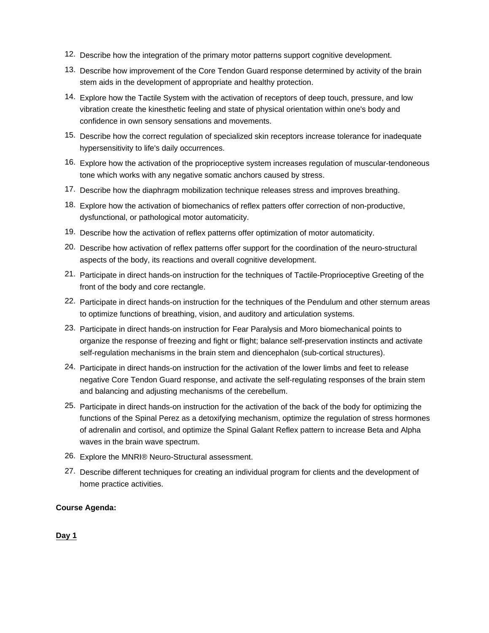- 12. Describe how the integration of the primary motor patterns support cognitive development.
- 13. Describe how improvement of the Core Tendon Guard response determined by activity of the brain stem aids in the development of appropriate and healthy protection.
- 14. Explore how the Tactile System with the activation of receptors of deep touch, pressure, and low vibration create the kinesthetic feeling and state of physical orientation within one's body and confidence in own sensory sensations and movements.
- 15. Describe how the correct regulation of specialized skin receptors increase tolerance for inadequate hypersensitivity to life's daily occurrences.
- 16. Explore how the activation of the proprioceptive system increases regulation of muscular-tendoneous tone which works with any negative somatic anchors caused by stress.
- 17. Describe how the diaphragm mobilization technique releases stress and improves breathing.
- 18. Explore how the activation of biomechanics of reflex patters offer correction of non-productive, dysfunctional, or pathological motor automaticity.
- 19. Describe how the activation of reflex patterns offer optimization of motor automaticity.
- 20. Describe how activation of reflex patterns offer support for the coordination of the neuro-structural aspects of the body, its reactions and overall cognitive development.
- 21. Participate in direct hands-on instruction for the techniques of Tactile-Proprioceptive Greeting of the front of the body and core rectangle.
- 22. Participate in direct hands-on instruction for the techniques of the Pendulum and other sternum areas to optimize functions of breathing, vision, and auditory and articulation systems.
- 23. Participate in direct hands-on instruction for Fear Paralysis and Moro biomechanical points to organize the response of freezing and fight or flight; balance self-preservation instincts and activate self-regulation mechanisms in the brain stem and diencephalon (sub-cortical structures).
- 24. Participate in direct hands-on instruction for the activation of the lower limbs and feet to release negative Core Tendon Guard response, and activate the self-regulating responses of the brain stem and balancing and adjusting mechanisms of the cerebellum.
- 25. Participate in direct hands-on instruction for the activation of the back of the body for optimizing the functions of the Spinal Perez as a detoxifying mechanism, optimize the regulation of stress hormones of adrenalin and cortisol, and optimize the Spinal Galant Reflex pattern to increase Beta and Alpha waves in the brain wave spectrum.
- 26. Explore the MNRI® Neuro-Structural assessment.
- 27. Describe different techniques for creating an individual program for clients and the development of home practice activities.

## **Course Agenda:**

## **Day 1**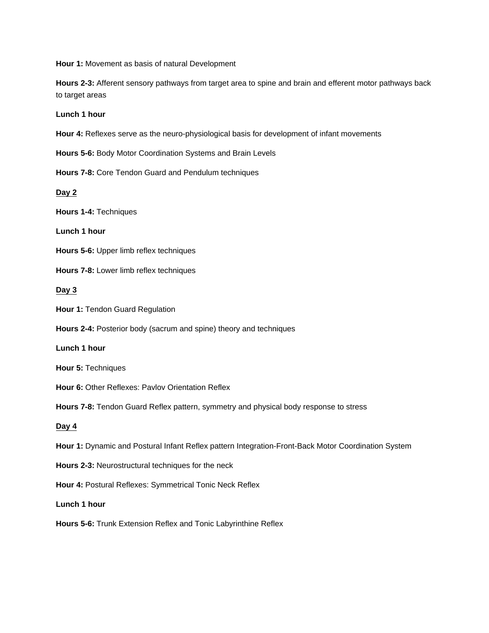**Hour 1:** Movement as basis of natural Development

**Hours 2-3:** Afferent sensory pathways from target area to spine and brain and efferent motor pathways back to target areas

**Lunch 1 hour**

**Hour 4:** Reflexes serve as the neuro-physiological basis for development of infant movements

**Hours 5-6:** Body Motor Coordination Systems and Brain Levels

**Hours 7-8:** Core Tendon Guard and Pendulum techniques

**Day 2**

**Hours 1-4:** Techniques

**Lunch 1 hour**

**Hours 5-6:** Upper limb reflex techniques

**Hours 7-8:** Lower limb reflex techniques

**Day 3**

**Hour 1:** Tendon Guard Regulation

**Hours 2-4:** Posterior body (sacrum and spine) theory and techniques

**Lunch 1 hour**

**Hour 5:** Techniques

**Hour 6:** Other Reflexes: Pavlov Orientation Reflex

**Hours 7-8:** Tendon Guard Reflex pattern, symmetry and physical body response to stress

**Day 4**

**Hour 1:** Dynamic and Postural Infant Reflex pattern Integration-Front-Back Motor Coordination System

**Hours 2-3:** Neurostructural techniques for the neck

**Hour 4:** Postural Reflexes: Symmetrical Tonic Neck Reflex

**Lunch 1 hour**

**Hours 5-6:** Trunk Extension Reflex and Tonic Labyrinthine Reflex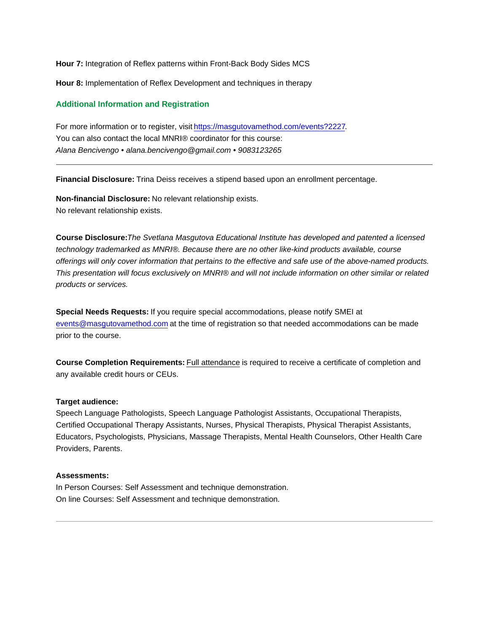Hour 7: Integration of Reflex patterns within Front-Back Body Sides MCS

Hour 8: Implementation of Reflex Development and techniques in therapy

#### Additional Information and Registration

For more information or to register, visit [https://masgutovamethod.com/events?2227.](https://masgutovamethod.com/events?2227) You can also contact the local MNRI® coordinator for this course: Alana Bencivengo • alana.bencivengo@gmail.com • 9083123265

Financial Disclosure: Trina Deiss receives a stipend based upon an enrollment percentage.

Non-financial Disclosure: No relevant relationship exists. No relevant relationship exists.

Course Disclosure: The Svetlana Masgutova Educational Institute has developed and patented a licensed technology trademarked as MNRI®. Because there are no other like-kind products available, course offerings will only cover information that pertains to the effective and safe use of the above-named products. This presentation will focus exclusively on MNRI® and will not include information on other similar or related products or services.

Special Needs Requests: If you require special accommodations, please notify SMEI at [events@masgutovamethod.com](mailto:events@masgutovamethod.com) at the time of registration so that needed accommodations can be made prior to the course.

Course Completion Requirements: Full attendance is required to receive a certificate of completion and any available credit hours or CEUs.

#### Target audience:

Speech Language Pathologists, Speech Language Pathologist Assistants, Occupational Therapists, Certified Occupational Therapy Assistants, Nurses, Physical Therapists, Physical Therapist Assistants, Educators, Psychologists, Physicians, Massage Therapists, Mental Health Counselors, Other Health Care Providers, Parents.

#### Assessments:

In Person Courses: Self Assessment and technique demonstration. On line Courses: Self Assessment and technique demonstration.